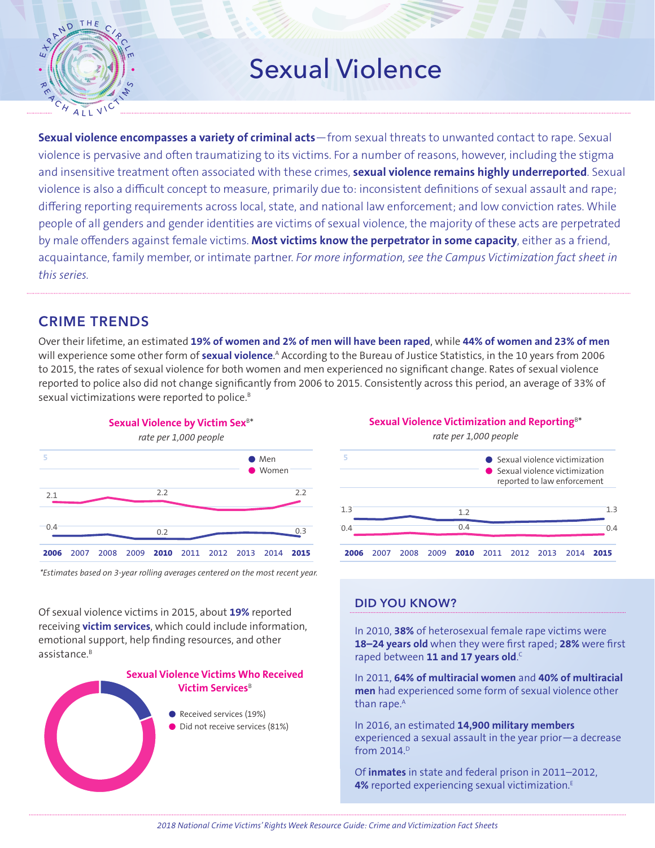

# Sexual Violence

acquaintance, family member, or intimate partner. *For more information, see the Campus Victimization fact sheet in* sexual violence<br>Sexual violence by male offenders against female victims. **Most victims know the perpetrator in some capacity**, either as a friend, **Sexual violence encompasses a variety of criminal acts**—from sexual threats to unwanted contact to rape. Sexual violence is pervasive and often traumatizing to its victims. For a number of reasons, however, including the stigma and insensitive treatment often associated with these crimes, **sexual violence remains highly underreported**. Sexual violence is also a difficult concept to measure, primarily due to: inconsistent definitions of sexual assault and rape; differing reporting requirements across local, state, and national law enforcement; and low conviction rates. While people of all genders and gender identities are victims of sexual violence, the majority of these acts are perpetrated *this series.*

3.0

## CRIME TRENDS

Over their lifetime, an estimated **[19% of women and 2% of men will have been](https://www.cdc.gov/mmwr/preview/mmwrhtml/ss6308a1.htm?s_cid=ss6308a1_e) raped**, while **44% of women and 23% of men** 1.0 [will experience some other form of](https://www.cdc.gov/mmwr/preview/mmwrhtml/ss6308a1.htm?s_cid=ss6308a1_e) **sexual violence**.<sup>A</sup> According to the Bureau of Justice Statistics, in the 10 years from 2006 to 2015, the rates of sexual violence for both women and men experienced no significant change. Rates of sexual violence reported to police also did not change significantly from 2006 to 2015. Consistently across this period, an average of 33% of sexual victimizations were reported to police.<sup>B</sup> to 2015, the rates of sexual violence for both women and met



<span id="page-0-0"></span>\*Estimates based on 3-year rolling averages centered on the most recent year.

Of sexual violence victims in 2015, about **19%** reported receiving **victim services**, which could include information, emotional support, help finding resources, and other assistance.B



Sexual Violence Victimization and Reporting<sup>B[\\*](#page-0-0)</sup>



### DID YOU KNOW?

In 2010, **38%** [of heterosexual female rape victims were](https://www.cdc.gov/violenceprevention/pdf/nisvs_sofindings.pdf#page=19)  **18–24 years old** [when they were first raped;](https://www.cdc.gov/violenceprevention/pdf/nisvs_sofindings.pdf#page=19) **28%** were first raped between **[11 and 17 years old](https://www.cdc.gov/violenceprevention/pdf/nisvs_sofindings.pdf#page=19)**. C

In 2011, **[64% of multiracial women](https://www.cdc.gov/mmwr/preview/mmwrhtml/ss6308a1.htm?s_cid=ss6308a1_e)** and **40% of multiracial men** [had experienced some form of sexual violence other](https://www.cdc.gov/mmwr/preview/mmwrhtml/ss6308a1.htm?s_cid=ss6308a1_e)  than rape.<sup>A</sup>

In 2016, an estimated **[14,900 military members](http://sapr.mil/public/docs/reports/FY16_Annual/FY16_Annual_Report_FactSheet_4_Aug_17.pdf#page=1)** [experienced a sexual assault in the year prior—a decrease](http://sapr.mil/public/docs/reports/FY16_Annual/FY16_Annual_Report_FactSheet_4_Aug_17.pdf#page=1)  from 2014.<sup>D</sup>

Of **inmates** in state and federal prison in 2011–2012, **4%** reported experiencing sexual victimization.<sup>E</sup>